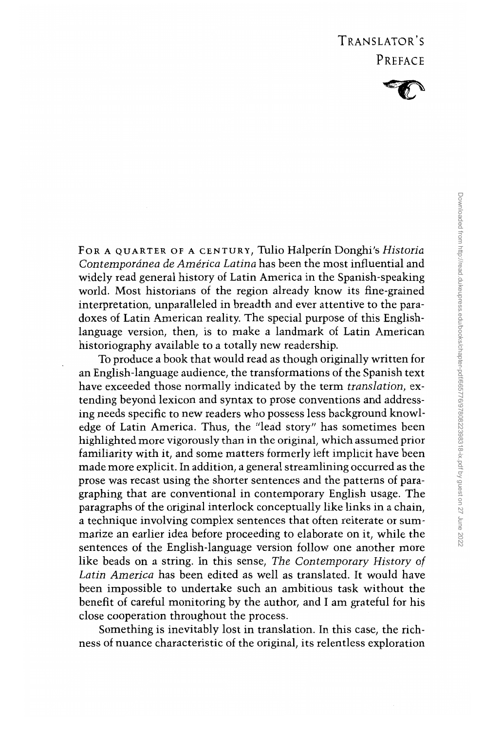

FOR A QUARTER OF A CENTURY, Tulio Halperin Donghi's *Historia Contemporanea de America Latina* has been the most influential and widely read general history of Latin America in the Spanish-speaking world. Most historians of the region already know its fine-grained interpretation, unparalleled in breadth and ever attentive to the paradoxes of Latin American reality. The special purpose of this Englishlanguage version, then, is to make a landmark of Latin American historiography available to a totally new readership.

To produce a book that would read as though originally written for an English-language audience, the transformations of the Spanish text have exceeded those normally indicated by the term *translation,* extending beyond lexicon and syntax to prose conventions and addressing needs specific to new readers who possess less background knowledge of Latin America. Thus, the "lead story" has sometimes been highlighted more vigorously than in the original, which assumed prior familiarity with it, and some matters formerly left implicit have been made more explicit. In addition, a general streamlining occurred as the prose was recast using the shorter sentences and the patterns of paragraphing that are conventional in contemporary English usage. The paragraphs of the original interlock conceptually like links in a chain, a technique involving complex sentences that often reiterate or summarize an earlier idea before proceeding to elaborate on it, while the sentences of the English-language version follow one another more like beads on a string. In this sense, *The Contemporary History of Latin America* has been edited as well as translated. It would have been impossible to undertake such an ambitious task without the benefit of careful monitoring by the author, and I am grateful for his close cooperation throughout the process.

Something is inevitably lost in translation. In this case, the richness of nuance characteristic of the original, its relentless exploration